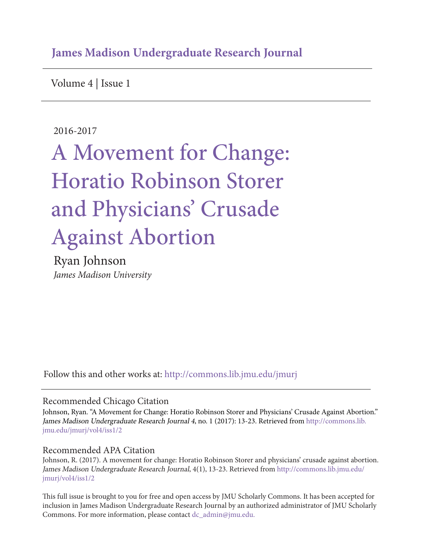## **James Madison Undergraduate Research Journal**

Volume 4 | Issue 1

#### 2016-2017

# A Movement for Change: Horatio Robinson Storer and Physicians' Crusade Against Abortion

Ryan Johnson *James Madison University*

Follow this and other works at: http://commons.lib.jmu.edu/jmurj

#### Recommended Chicago Citation

Johnson, Ryan. "A Movement for Change: Horatio Robinson Storer and Physicians' Crusade Against Abortion." James Madison Undergraduate Research Journal 4, no. 1 (2017): 13-23. Retrieved from http://commons.lib. jmu.edu/jmurj/vol4/iss1/2

#### Recommended APA Citation

Johnson, R. (2017). A movement for change: Horatio Robinson Storer and physicians' crusade against abortion. James Madison Undergraduate Research Journal, 4(1), 13-23. Retrieved from http://commons.lib.jmu.edu/ jmurj/vol4/iss1/2

This full issue is brought to you for free and open access by JMU Scholarly Commons. It has been accepted for inclusion in James Madison Undergraduate Research Journal by an authorized administrator of JMU Scholarly Commons. For more information, please contact dc\_admin@jmu.edu.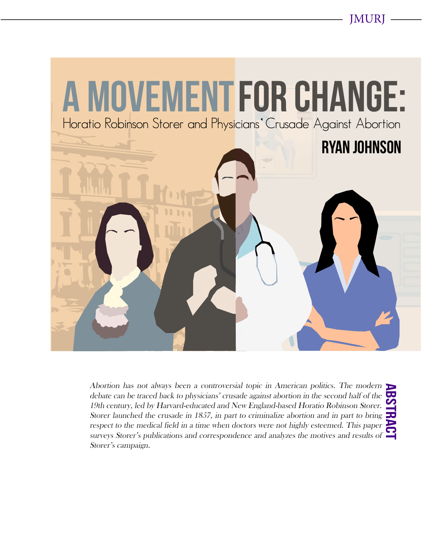JMURJ



ABSTRACT Abortion has not always been a controversial topic in American politics. The modern  $\blacktriangleright$ debate can be traced back to physicians' crusade against abortion in the second half of the 19th century, led by Harvard-educated and New England-based Horatio Robinson Storer. Storer launched the crusade in 1857, in part to criminalize abortion and in part to bring respect to the medical field in a time when doctors were not highly esteemed. This paper surveys Storer's publications and correspondence and analyzes the motives and results of Storer's campaign.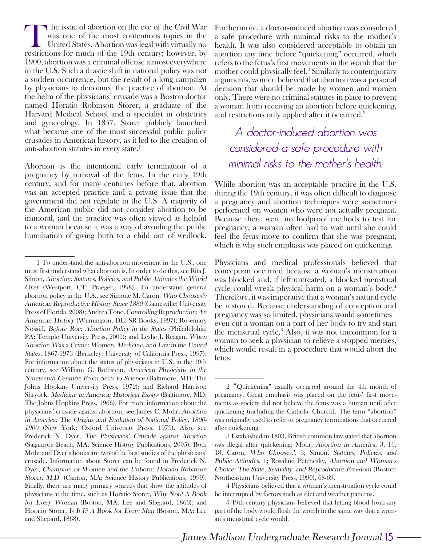The issue of abortion on the eve of the Civil War<br>was one of the most contentious topics in the<br>United States. Abortion was legal with virtually no<br>restrictions for much of the 19th century however by was one of the most contentious topics in the United States. Abortion was legal with virtually no restrictions for much of the 19th century; however, by 1900, abortion was a criminal offense almost everywhere in the U.S. Such a drastic shift in national policy was not a sudden occurrence, but the result of a long campaign by physicians to denounce the practice of abortion. At the helm of the physicians' crusade was a Boston doctor named Horatio Robinson Storer, a graduate of the Harvard Medical School and a specialist in obstetrics and gynecology. In 1857, Storer publicly launched what became one of the most successful public policy crusades in American history, as it led to the creation of anti-abortion statutes in every state.<sup>1</sup>

Abortion is the intentional early termination of a pregnancy by removal of the fetus. In the early 19th century, and for many centuries before that, abortion was an accepted practice and a private issue that the government did not regulate in the U.S. A majority of the American public did not consider abortion to be immoral, and the practice was often viewed as helpful to a woman because it was a way of avoiding the public humiliation of giving birth to a child out of wedlock.

Furthermore, a doctor-induced abortion was considered a safe procedure with minimal risks to the mother's health. It was also considered acceptable to obtain an abortion any time before "quickening" occurred, which refers to the fetus's first movements in the womb that the mother could physically feel.2 Similarly to contemporary arguments, women believed that abortion was a personal decision that should be made by women and women only. There were no criminal statutes in place to prevent a woman from receiving an abortion before quickening, and restrictions only applied after it occurred.<sup>3</sup>

A doctor-induced abortion was considered a safe procedure with minimal risks to the mother's health.

While abortion was an acceptable practice in the U.S. during the 19th century, it was often difficult to diagnose a pregnancy and abortion techniques were sometimes performed on women who were not actually pregnant. Because there were no foolproof methods to test for pregnancy, a woman often had to wait until she could feel the fetus move to confirm that she was pregnant, which is why such emphasis was placed on quickening.

Physicians and medical professionals believed that conception occurred because a woman's menstruation was blocked and, if left untreated, a blocked menstrual cycle could wreak physical harm on a woman's body.4 Therefore, it was imperative that a woman's natural cycle be restored. Because understanding of conception and pregnancy was so limited, physicians would sometimes even cut a woman on a part of her body to try and start the menstrual cycle.<sup>5</sup> Also, it was not uncommon for a woman to seek a physician to relieve a stopped menses, which would result in a procedure that would abort the fetus.

<sup>1</sup> To understand the anti-abortion movement in the U.S., one must first understand what abortion is. In order to do this, see Rita J. Simon, Abortion: Statutes, Policies, and Public Attitudes the World Over (Westport, CT; Praeger, 1998). To understand general abortion policy in the U.S., see Simone M. Caron, Who Chooses?: American Reproductive History Since 1830 (Gainesville: University Press of Florida, 2008); Andrea Tone, Controlling Reproduction: An American History (Wilmington, DE: SR Books, 1997); Rosemary Nossiff, Before Roe: Abortion Policy in the States (Philadelphia, PA: Temple University Press, 2001); and Leslie J. Reagan, When Abortion Was a Crime: Women, Medicine, and Law in the United States, 1867-1973 (Berkeley: University of California Press, 1997). For information about the status of physicians in U.S. in the 19th century, see William G. Rothstein, American Physicians in the Nineteenth Century: From Sects to Science (Baltimore, MD: The Johns Hopkins University Press, 1972); and Richard Harrison Shryock, Medicine in America: Historical Essays (Baltimore, MD: The Johns Hopkins Press, 1966). For more information about the physicians' crusade against abortion, see James C. Mohr, Abortion in America: The Origins and Evolution of National Policy, 1800- <sup>1900</sup> (New York: Oxford University Press, 1979). Also, see Frederick N. Dyer, The Physicians' Crusade against Abortion (Sagamore Beach, MA: Science History Publications, 2005). Both Mohr and Dyer's books are two of the best studies of the physicians' crusade. Information about Storer can be found in Frederick N. Dyer, Champion of Women and the Unborn: Horatio Robinson Storer, M.D. (Canton, MA: Science History Publications, 1999). Finally, there are many primary sources that show the attitudes of physicians at the time, such as Horatio Storer, Why Not? A Book for Every Woman (Boston, MA: Lee and Shepard, 1866); and Horatio Storer, Is It I? A Book for Every Man (Boston, MA: Lee and Shepard, 1868).

<sup>2 &</sup>quot;Quickening" usually occurred around the 4th month of pregnancy. Great emphasis was placed on the fetus' first movements as society did not believe the fetus was a human until after quickening (including the Catholic Church). The term "abortion" was originally used to refer to pregnancy terminations that occurred after quickening.

<sup>3</sup> Established in 1803, British common law stated that abortion was illegal after quickening; Mohr, Abortion in America, 3, 16, 18; Caron, Who Chooses?, 3; Simon, Statutes, Policies, and Public Attitudes, 1; Rosalind Petchesky, Abortion and Woman's Choice: The State, Sexuality, and Reproductive Freedom (Boston: Northeastern University Press, 1990), 68-69.

<sup>4</sup> Physicians believed that a woman's menstruation cycle could be interrupted by factors such as diet and weather patterns.

<sup>5 19</sup>th-century physicians believed that letting blood from any part of the body would flush the womb in the same way that a woman's menstrual cycle would.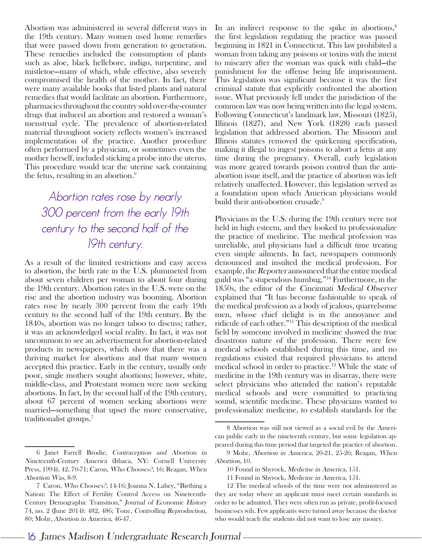Abortion was administered in several different ways in the 19th century. Many women used home remedies that were passed down from generation to generation. These remedies included the consumption of plants such as aloe, black hellebore, indigo, turpentine, and mistletoe—many of which, while effective, also severely compromised the health of the mother. In fact, there were many available books that listed plants and natural remedies that would facilitate an abortion. Furthermore, pharmacies throughout the country sold over-the-counter drugs that induced an abortion and restored a woman's menstrual cycle. The prevalence of abortion-related material throughout society reflects women's increased implementation of the practice. Another procedure often performed by a physician, or sometimes even the mother herself, included sticking a probe into the uterus. This procedure would tear the uterine sack containing the fetus, resulting in an abortion. $6$ 

## Abortion rates rose by nearly 300 percent from the early 19th century to the second half of the 19th century.

As a result of the limited restrictions and easy access to abortion, the birth rate in the U.S. plummeted from about seven children per woman to about four during the 19th century. Abortion rates in the U.S. were on the rise and the abortion industry was booming. Abortion rates rose by nearly 300 percent from the early 19th century to the second half of the 19th century. By the 1840s, abortion was no longer taboo to discuss; rather, it was an acknowledged social reality. In fact, it was not uncommon to see an advertisement for abortion-related products in newspapers, which show that there was a thriving market for abortions and that many women accepted this practice. Early in the century, usually only poor, single mothers sought abortions; however, white, middle-class, and Protestant women were now seeking abortions. In fact, by the second half of the 19th century, about 67 percent of women seeking abortions were married—something that upset the more conservative, traditionalist groups.7

In an indirect response to the spike in abortions, $\delta$ the first legislation regulating the practice was passed beginning in 1821 in Connecticut. This law prohibited a woman from taking any poisons or toxins with the intent to miscarry after the woman was quick with child—the punishment for the offense being life imprisonment. This legislation was significant because it was the first criminal statute that explicitly confronted the abortion issue. What previously fell under the jurisdiction of the common law was now being written into the legal system. Following Connecticut's landmark law, Missouri (1825), Illinois (1827), and New York (1828) each passed legislation that addressed abortion. The Missouri and Illinois statutes removed the quickening specification, making it illegal to ingest poisons to abort a fetus at any time during the pregnancy. Overall, early legislation was more geared towards poison control than the antiabortion issue itself, and the practice of abortion was left relatively unaffected. However, this legislation served as a foundation upon which American physicians would build their anti-abortion crusade.<sup>9</sup>

Physicians in the U.S. during the 19th century were not held in high esteem, and they looked to professionalize the practice of medicine. The medical profession was unreliable, and physicians had a difficult time treating even simple ailments. In fact, newspapers commonly denounced and insulted the medical profession. For example, the Reporter announced that the entire medical guild was "a stupendous humbug."10 Furthermore, in the 1850s, the editor of the Cincinnati Medical Observer explained that "It has become fashionable to speak of the medical profession as a body of jealous, quarrelsome men, whose chief delight is in the annoyance and ridicule of each other."11 This description of the medical field by someone involved in medicine showed the true disastrous nature of the profession. There were few medical schools established during this time, and no regulations existed that required physicians to attend medical school in order to practice.12 While the state of medicine in the 19th century was in disarray, there were select physicians who attended the nation's reputable medical schools and were committed to practicing sound, scientific medicine. These physicians wanted to professionalize medicine, to establish standards for the

<sup>6</sup> Janet Farrell Brodie, Contraception and Abortion in Nineteenth-Century America (Ithaca, NY: Cornell University Press, 1994), 42, 70-71; Caron, Who Chooses?, 16; Reagan, When Abortion Was, 8-9.

<sup>7</sup> Caron, Who Chooses?, 14-16; Joanna N. Lahey, "Birthing a Nation: The Effect of Fertility Control Access on Nineteenth-Century Demographic Transition," Journal of Economic History 74, no. 2 (June 2014): 482, 486; Tone, Controlling Reproduction, 80; Mohr, Abortion in America, 46-47.

<sup>8</sup> Abortion was still not viewed as a social evil by the American public early in the nineteenth century, but some legislation appeared during this time period that targeted the practice of abortion.

<sup>9</sup> Mohr, Abortion in America, 20-21, 25-26; Reagan, When Abortion, 10.

<sup>10</sup> Found in Shyrock, Medicine in America, 151.

<sup>11</sup> Found in Shyrock, Medicine in America, 151.

<sup>12</sup> The medical schools of the time were not administered as they are today where an applicant must meet certain standards in order to be admitted. They were often run as private, profit-focused businesses wih. Few applicants were turned away because the doctor who would teach the students did not want to lose any money.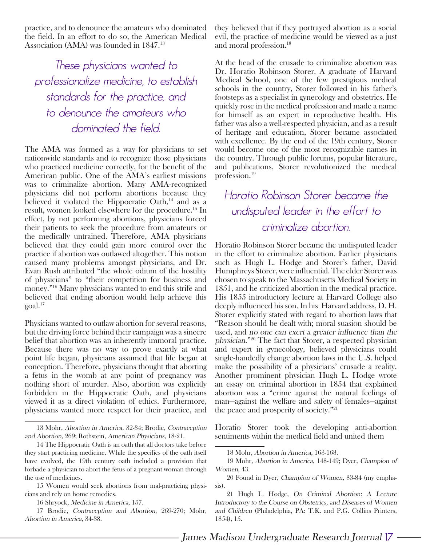practice, and to denounce the amateurs who dominated the field. In an effort to do so, the American Medical Association (AMA) was founded in 1847.13

These physicians wanted to professionalize medicine, to establish standards for the practice, and to denounce the amateurs who dominated the field.

The AMA was formed as a way for physicians to set nationwide standards and to recognize those physicians who practiced medicine correctly, for the benefit of the American public. One of the AMA's earliest missions was to criminalize abortion. Many AMA-recognized physicians did not perform abortions because they believed it violated the Hippocratic Oath, $^{14}$  and as a result, women looked elsewhere for the procedure.15 In effect, by not performing abortions, physicians forced their patients to seek the procedure from amateurs or the medically untrained. Therefore, AMA physicians believed that they could gain more control over the practice if abortion was outlawed altogether. This notion caused many problems amongst physicians, and Dr. Evan Rush attributed "the whole odium of the hostility of physicians" to "their competition for business and money."16 Many physicians wanted to end this strife and believed that ending abortion would help achieve this goal.17

Physicians wanted to outlaw abortion for several reasons, but the driving force behind their campaign was a sincere belief that abortion was an inherently immoral practice. Because there was no way to prove exactly at what point life began, physicians assumed that life began at conception. Therefore, physicians thought that aborting a fetus in the womb at any point of pregnancy was nothing short of murder. Also, abortion was explicitly forbidden in the Hippocratic Oath, and physicians viewed it as a direct violation of ethics. Furthermore, physicians wanted more respect for their practice, and

they believed that if they portrayed abortion as a social evil, the practice of medicine would be viewed as a just and moral profession.18

At the head of the crusade to criminalize abortion was Dr. Horatio Robinson Storer. A graduate of Harvard Medical School, one of the few prestigious medical schools in the country, Storer followed in his father's footsteps as a specialist in gynecology and obstetrics. He quickly rose in the medical profession and made a name for himself as an expert in reproductive health. His father was also a well-respected physician, and as a result of heritage and education, Storer became associated with excellence. By the end of the 19th century, Storer would become one of the most recognizable names in the country. Through public forums, popular literature, and publications, Storer revolutionized the medical profession.19

## Horatio Robinson Storer became the undisputed leader in the effort to criminalize abortion.

Horatio Robinson Storer became the undisputed leader in the effort to criminalize abortion. Earlier physicians such as Hugh L. Hodge and Storer's father, David Humphreys Storer, were influential. The elder Storer was chosen to speak to the Massachusetts Medical Society in 1851, and he criticized abortion in the medical practice. His 1855 introductory lecture at Harvard College also deeply influenced his son. In his Harvard address, D. H. Storer explicitly stated with regard to abortion laws that "Reason should be dealt with; moral suasion should be used, and no one can exert a greater influence than the physician."20 The fact that Storer, a respected physician and expert in gynecology, believed physicians could single-handedly change abortion laws in the U.S. helped make the possibility of a physicians' crusade a reality. Another prominent physician Hugh L. Hodge wrote an essay on criminal abortion in 1854 that explained abortion was a "crime against the natural feelings of man—against the welfare and safety of females—against the peace and prosperity of society."21

Horatio Storer took the developing anti-abortion sentiments within the medical field and united them

<sup>13</sup> Mohr, Abortion in America, 32-34; Brodie, Contraception and Abortion, 269; Rothstein, American Physicians, 18-21.

<sup>14</sup> The Hippocratic Oath is an oath that all doctors take before they start practicing medicine. While the specifics of the oath itself have evolved, the 19th century oath included a provision that forbade a physician to abort the fetus of a pregnant woman through the use of medicines.

<sup>15</sup> Women would seek abortions from mal-practicing physicians and rely on home remedies.

<sup>16</sup> Shryock, Medicine in America, 157.

<sup>17</sup> Brodie, Contraception and Abortion, 269-270; Mohr, Abortion in America, 34-38.

<sup>18</sup> Mohr, Abortion in America, 163-168.

<sup>19</sup> Mohr, Abortion in America, 148-149; Dyer, Champion of Women, 43.

<sup>20</sup> Found in Dyer, Champion of Women, 83-84 (my emphasis).

<sup>21</sup> Hugh L. Hodge, On Criminal Abortion: A Lecture Introductory to the Course on Obstetrics, and Diseases of Women and Children (Philadelphia, PA: T.K. and P.G. Collins Printers, 1854), 15.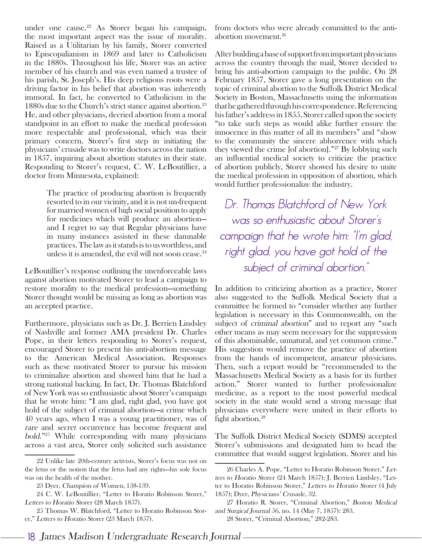under one cause.<sup>22</sup> As Storer began his campaign, the most important aspect was the issue of morality. Raised as a Utilitarian by his family, Storer converted to Episcopalianism in 1869 and later to Catholicism in the 1880s. Throughout his life, Storer was an active member of his church and was even named a trustee of his parish, St. Joseph's. His deep religious roots were a driving factor in his belief that abortion was inherently immoral. In fact, he converted to Catholicism in the 1880s due to the Church's strict stance against abortion.<sup>23</sup> He, and other physicians, decried abortion from a moral standpoint in an effort to make the medical profession more respectable and professional, which was their primary concern. Storer's first step in initiating the physicians' crusade was to write doctors across the nation in 1857, inquiring about abortion statutes in their state. Responding to Storer's request, C. W. LeBoutillier, a doctor from Minnesota, explained:

> The practice of producing abortion is frequently resorted to in our vicinity, and it is not un-frequent for married women of high social position to apply for medicines which will produce an abortion and I regret to say that Regular physicians have in many instances assisted in these damnable practices. The law as it stands is to us worthless, and unless it is amended, the evil will not soon cease.<sup>24</sup>

LeBoutillier's response outlining the unenforceable laws against abortion motivated Storer to lead a campaign to restore morality to the medical profession—something Storer thought would be missing as long as abortion was an accepted practice.

Furthermore, physicians such as Dr. J. Berrien Lindsley of Nashville and former AMA president Dr. Charles Pope, in their letters responding to Storer's request, encouraged Storer to present his anti-abortion message to the American Medical Association. Responses such as these motivated Storer to pursue his mission to criminalize abortion and showed him that he had a strong national backing. In fact, Dr. Thomas Blatchford of New York was so enthusiastic about Storer's campaign that he wrote him: "I am glad, right glad, you have got hold of the subject of criminal abortion—a crime which 40 years ago, when I was a young practitioner, was of rare and secret occurrence has become frequent and bold."25 While corresponding with many physicians across a vast area, Storer only solicited such assistance

from doctors who were already committed to the antiabortion movement.26

After building a base of support from important physicians across the country through the mail, Storer decided to bring his anti-abortion campaign to the public. On 28 February 1857, Storer gave a long presentation on the topic of criminal abortion to the Suffolk District Medical Society in Boston, Massachusetts using the information that he gathered through his correspondence. Referencing his father's address in 1855, Storer called upon the society "to take such steps as would alike further ensure the innocence in this matter of all its members" and "show to the community the sincere abhorrence with which they viewed the crime [of abortion]."27 By lobbying such an influential medical society to criticize the practice of abortion publicly, Storer showed his desire to unite the medical profession in opposition of abortion, which would further professionalize the industry.

Dr. Thomas Blatchford of New York was so enthusiastic about Storer's campaign that he wrote him: "I'm glad, right glad, you have got hold of the subject of criminal abortion."

In addition to criticizing abortion as a practice, Storer also suggested to the Suffolk Medical Society that a committee be formed to "consider whether any further legislation is necessary in this Commonwealth, on the subject of criminal abortion" and to report any "such other means as may seem necessary for the suppression of this abominable, unnatural, and yet common crime." His suggestion would remove the practice of abortion from the hands of incompetent, amateur physicians. Then, such a report would be "recommended to the Massachusetts Medical Society as a basis for its further action." Storer wanted to further professionalize medicine, as a report to the most powerful medical society in the state would send a strong message that physicians everywhere were united in their efforts to fight abortion.<sup>28</sup>

The Suffolk District Medical Society (SDMS) accepted Storer's submissions and designated him to head the committee that would suggest legislation. Storer and his

<sup>22</sup> Unlike late 20th-century activists, Storer's focus was not on the fetus or the notion that the fetus had any rights—his sole focus was on the health of the mother.

<sup>23</sup> Dyer, Champion of Women, 138-139.

<sup>24</sup> C. W. LeBoutillier, "Letter to Horatio Robinson Storer," Letters to Horatio Storer (28 March 1857).

<sup>25</sup> Thomas W. Blatchford, "Letter to Horatio Robinson Storer," Letters to Horatio Storer (23 March 1857).

<sup>26</sup> Charles A. Pope, "Letter to Horatio Robinson Storer," Letters to Horatio Storer (24 March 1857); J. Berrien Lindsley, "Letter to Horatio Robinson Storer," Letters to Horatio Storer (4 July 1857); Dyer, Physicians' Crusade, 32.

<sup>27</sup> Horatio R. Storer, "Criminal Abortion," Boston Medical and Surgical Journal 56, no. 14 (May 7, 1857): 283. 28 Storer, "Criminal Abortion," 282-283.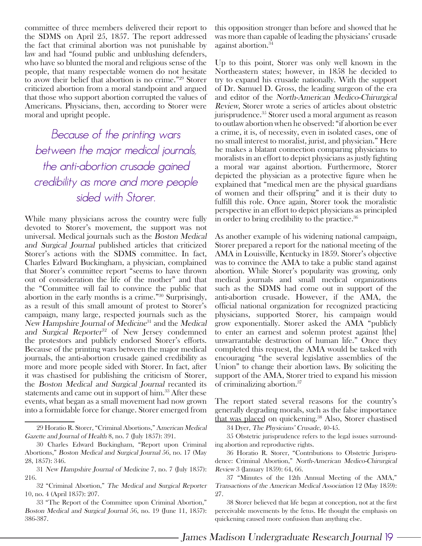committee of three members delivered their report to the SDMS on April 25, 1857. The report addressed the fact that criminal abortion was not punishable by law and had "found public and unblushing defenders, who have so blunted the moral and religious sense of the people, that many respectable women do not hesitate to avow their belief that abortion is no crime."29 Storer criticized abortion from a moral standpoint and argued that those who support abortion corrupted the values of Americans. Physicians, then, according to Storer were moral and upright people.

Because of the printing wars between the major medical journals, the anti-abortion crusade gained credibility as more and more people sided with Storer.

While many physicians across the country were fully devoted to Storer's movement, the support was not universal. Medical journals such as the Boston Medical and Surgical Journal published articles that criticized Storer's actions with the SDMS committee. In fact, Charles Edward Buckingham, a physician, complained that Storer's committee report "seems to have thrown out of consideration the life of the mother" and that the "Committee will fail to convince the public that abortion in the early months is a crime."30 Surprisingly, as a result of this small amount of protest to Storer's campaign, many large, respected journals such as the New Hampshire Journal of Medicine<sup>31</sup> and the Medical and Surgical Reporter<sup>32</sup> of New Jersey condemned the protestors and publicly endorsed Storer's efforts. Because of the printing wars between the major medical journals, the anti-abortion crusade gained credibility as more and more people sided with Storer. In fact, after it was chastised for publishing the criticism of Storer, the Boston Medical and Surgical Journal recanted its statements and came out in support of him.<sup>33</sup> After these events, what began as a small movement had now grown into a formidable force for change. Storer emerged from

this opposition stronger than before and showed that he was more than capable of leading the physicians' crusade against abortion.<sup>34</sup>

Up to this point, Storer was only well known in the Northeastern states; however, in 1858 he decided to try to expand his crusade nationally. With the support of Dr. Samuel D. Gross, the leading surgeon of the era and editor of the North-American Medico-Chirurgical Review, Storer wrote a series of articles about obstetric jurisprudence.<sup>35</sup> Storer used a moral argument as reason to outlaw abortion when he observed: "if abortion be ever a crime, it is, of necessity, even in isolated cases, one of no small interest to moralist, jurist, and physician." Here he makes a blatant connection comparing physicians to moralists in an effort to depict physicians as justly fighting a moral war against abortion. Furthermore, Storer depicted the physician as a protective figure when he explained that "medical men are the physical guardians of women and their offspring" and it is their duty to fulfill this role. Once again, Storer took the moralistic perspective in an effort to depict physicians as principled in order to bring credibility to the practice.<sup>36</sup>

As another example of his widening national campaign, Storer prepared a report for the national meeting of the AMA in Louisville, Kentucky in 1859. Storer's objective was to convince the AMA to take a public stand against abortion. While Storer's popularity was growing, only medical journals and small medical organizations such as the SDMS had come out in support of the anti-abortion crusade. However, if the AMA, the official national organization for recognized practicing physicians, supported Storer, his campaign would grow exponentially. Storer asked the AMA "publicly to enter an earnest and solemn protest against [the] unwarrantable destruction of human life." Once they completed this request, the AMA would be tasked with encouraging "the several legislative assemblies of the Union" to change their abortion laws. By soliciting the support of the AMA, Storer tried to expand his mission of criminalizing abortion.37

The report stated several reasons for the country's generally degrading morals, such as the false importance that was placed on quickening.<sup>38</sup> Also, Storer chastised

34 Dyer, The Physicians' Crusade, 40-45.

35 Obstetric jurisprudence refers to the legal issues surrounding abortion and reproductive rights.

36 Horatio R. Storer, "Contributions to Obstetric Jurisprudence: Criminal Abortion," North-American Medico-Chirurgical Review 3 (January 1859): 64, 66.

37 "Minutes of the 12th Annual Meeting of the AMA," Transactions of the American Medical Association 12 (May 1859): 27.

38 Storer believed that life began at conception, not at the first perceivable movements by the fetus. He thought the emphasis on quickening caused more confusion than anything else.

James Madison Undergraduate Research Journal **19**

<sup>29</sup> Horatio R. Storer, "Criminal Abortions," American Medical Gazette and Journal of Health 8, no. 7 (July 1857): 391.

<sup>30</sup> Charles Edward Buckingham, "Report upon Criminal Abortions," Boston Medical and Surgical Journal 56, no. 17 (May 28, 1857): 346.

<sup>31</sup> New Hampshire Journal of Medicine 7, no. 7 (July 1857): 216.

<sup>32 &</sup>quot;Criminal Abortion," The Medical and Surgical Reporter 10, no. 4 (April 1857): 207.

<sup>33 &</sup>quot;The Report of the Committee upon Criminal Abortion," Boston Medical and Surgical Journal 56, no. 19 (June 11, 1857): 386-387.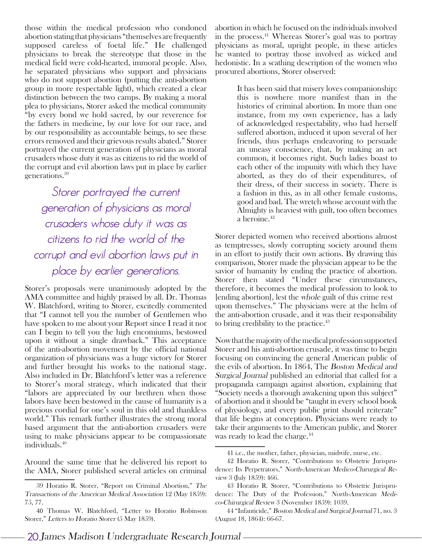those within the medical profession who condoned abortion stating that physicians "themselves are frequently supposed careless of foetal life." He challenged physicians to break the stereotype that those in the medical field were cold-hearted, immoral people. Also, he separated physicians who support and physicians who do not support abortion (putting the anti-abortion group in more respectable light), which created a clear distinction between the two camps. By making a moral plea to physicians, Storer asked the medical community "by every bond we hold sacred, by our reverence for the fathers in medicine, by our love for our race, and by our responsibility as accountable beings, to see these errors removed and their grievous results abated." Storer portrayed the current generation of physicians as moral crusaders whose duty it was as citizens to rid the world of the corrupt and evil abortion laws put in place by earlier generations.39

Storer portrayed the current generation of physicians as moral crusaders whose duty it was as citizens to rid the world of the corrupt and evil abortion laws put in <sup>p</sup>lace by earlier generations.

Storer's proposals were unanimously adopted by the AMA committee and highly praised by all. Dr. Thomas W. Blatchford, writing to Storer, excitedly commented that "I cannot tell you the number of Gentlemen who have spoken to me about your Report since I read it nor can I begin to tell you the high encomiums, bestowed upon it without a single drawback." This acceptance of the anti-abortion movement by the official national organization of physicians was a huge victory for Storer and further brought his works to the national stage. Also included in Dr. Blatchford's letter was a reference to Storer's moral strategy, which indicated that their "labors are appreciated by our brethren when those labors have been bestowed in the cause of humanity is a precious cordial for one's soul in this old and thankless world." This remark further illustrates the strong moral based argument that the anti-abortion crusaders were using to make physicians appear to be compassionate individuals.40

Around the same time that he delivered his report to the AMA, Storer published several articles on criminal abortion in which he focused on the individuals involved in the process.41 Whereas Storer's goal was to portray physicians as moral, upright people, in these articles he wanted to portray those involved as wicked and hedonistic. In a scathing description of the women who procured abortions, Storer observed:

> It has been said that misery loves companionship: this is nowhere more manifest than in the histories of criminal abortion. In more than one instance, from my own experience, has a lady of acknowledged respectability, who had herself suffered abortion, induced it upon several of her friends, thus perhaps endeavoring to persuade an uneasy conscience, that, by making an act common, it becomes right. Such ladies boast to each other of the impunity with which they have aborted, as they do of their expenditures, of their dress, of their success in society. There is a fashion in this, as in all other female customs, good and bad. The wretch whose account with the Almighty is heaviest with guilt, too often becomes a heroine.42

Storer depicted women who received abortions almost as temptresses, slowly corrupting society around them in an effort to justify their own actions. By drawing this comparison, Storer made the physician appear to be the savior of humanity by ending the practice of abortion. Storer then stated "Under these circumstances, therefore, it becomes the medical profession to look to [ending abortion], lest the whole guilt of this crime rest upon themselves." The physicians were at the helm of the anti-abortion crusade, and it was their responsibility to bring credibility to the practice.43

Now that the majority of the medical profession supported Storer and his anti-abortion crusade, it was time to begin focusing on convincing the general American public of the evils of abortion. In 1864, The Boston Medical and Surgical Journal published an editorial that called for a propaganda campaign against abortion, explaining that "Society needs a thorough awakening upon this subject" of abortion and it should be "taught in every school book of physiology, and every public print should reiterate" that life begins at conception. Physicians were ready to take their arguments to the American public, and Storer was ready to lead the charge.44

<sup>39</sup> Horatio R. Storer, "Report on Criminal Abortion," The Transactions of the American Medical Association 12 (May 1859): 75, 77.

<sup>40</sup> Thomas W. Blatchford, "Letter to Horatio Robinson Storer," Letters to Horatio Storer (5 May 1859).

<sup>41</sup> i.e., the mother, father, physician, midwife, nurse, etc.

<sup>42</sup> Horatio R. Storer, "Contributions to Obstetric Jurisprudence: Its Perpetrators," North-American Medico-Chirurgical Review 3 (July 1859): 466.

<sup>43</sup> Horatio R. Storer, "Contributions to Obstetric Jurisprudence: The Duty of the Profession," North-American Medico-Chirurgical Review 3 (November 1859): 1039.

<sup>44 &</sup>quot;Infanticide," Boston Medical and Surgical Journal 71, no. 3 (August 18, 1864): 66-67.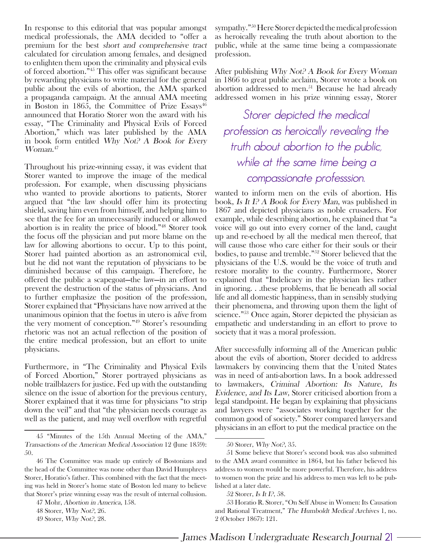In response to this editorial that was popular amongst medical professionals, the AMA decided to "offer a premium for the best short and comprehensive tract calculated for circulation among females, and designed to enlighten them upon the criminality and physical evils of forced abortion."45 This offer was significant because by rewarding physicians to write material for the general public about the evils of abortion, the AMA sparked a propaganda campaign. At the annual AMA meeting in Boston in 1865, the Committee of Prize  $Essays^{46}$ announced that Horatio Storer won the award with his essay, "The Criminality and Physical Evils of Forced Abortion," which was later published by the AMA in book form entitled Why Not? A Book for Every Woman. 47

Throughout his prize-winning essay, it was evident that Storer wanted to improve the image of the medical profession. For example, when discussing physicians who wanted to provide abortions to patients, Storer argued that "the law should offer him its protecting shield, saving him even from himself, and helping him to see that the fee for an unnecessarily induced or allowed abortion is in reality the price of blood."48 Storer took the focus off the physician and put more blame on the law for allowing abortions to occur. Up to this point, Storer had painted abortion as an astronomical evil, but he did not want the reputation of physicians to be diminished because of this campaign. Therefore, he offered the public a scapegoat—the law—in an effort to prevent the destruction of the status of physicians. And to further emphasize the position of the profession, Storer explained that "Physicians have now arrived at the unanimous opinion that the foetus in utero is alive from the very moment of conception."49 Storer's resounding rhetoric was not an actual reflection of the position of the entire medical profession, but an effort to unite physicians.

Furthermore, in "The Criminality and Physical Evils of Forced Abortion," Storer portrayed physicians as noble trailblazers for justice. Fed up with the outstanding silence on the issue of abortion for the previous century, Storer explained that it was time for physicians "to strip down the veil" and that "the physician needs courage as well as the patient, and may well overflow with regretful

sympathy."50 Here Storer depicted the medical profession as heroically revealing the truth about abortion to the public, while at the same time being a compassionate profession.

After publishing Why Not? A Book for Every Woman in 1866 to great public acclaim, Storer wrote a book on abortion addressed to men.<sup>51</sup> Because he had already addressed women in his prize winning essay, Storer

Storer depicted the medical profession as heroically revealing the truth about abortion to the public, while at the same time being a compassionate professsion.

wanted to inform men on the evils of abortion. His book, Is It I? A Book for Every Man, was published in 1867 and depicted physicians as noble crusaders. For example, while describing abortion, he explained that "a voice will go out into every corner of the land, caught up and re-echoed by all the medical men thereof, that will cause those who care either for their souls or their bodies, to pause and tremble."52 Storer believed that the physicians of the U.S. would be the voice of truth and restore morality to the country. Furthermore, Storer explained that "Indelicacy in the physician lies rather in ignoring. . .these problems, that lie beneath all social life and all domestic happiness, than in sensibly studying their phenomena, and throwing upon them the light of science."53 Once again, Storer depicted the physician as empathetic and understanding in an effort to prove to society that it was a moral profession.

After successfully informing all of the American public about the evils of abortion, Storer decided to address lawmakers by convincing them that the United States was in need of anti-abortion laws. In a book addressed to lawmakers, Criminal Abortion: Its Nature, Its Evidence, and Its Law, Storer criticised abortion from a legal standpoint. He began by explaining that physicians and lawyers were "associates working together for the common good of society." Storer compared lawyers and physicians in an effort to put the medical practice on the

<sup>45 &</sup>quot;Minutes of the 15th Annual Meeting of the AMA," Transactions of the American Medical Association 12 (June 1859): 50.

<sup>46</sup> The Committee was made up entirely of Bostonians and the head of the Committee was none other than David Humphreys Storer, Horatio's father. This combined with the fact that the meeting was held in Storer's home state of Boston led many to believe that Storer's prize winning essay was the result of internal collusion.

<sup>47</sup> Mohr, Abortion in America, 158.

<sup>48</sup> Storer, Why Not?, 26.

<sup>49</sup> Storer, Why Not?, 28.

<sup>50</sup> Storer, Why Not?, 35.

<sup>51</sup> Some believe that Storer's second book was also submitted to the AMA award committee in 1864, but his father believed his address to women would be more powerful. Therefore, his address to women won the prize and his address to men was left to be published at a later date.

<sup>52</sup> Storer, Is It I?, 58.

<sup>53</sup> Horatio R. Storer, "On Self Abuse in Women: Its Causation and Rational Treatment," The Humboldt Medical Archives 1, no. 2 (October 1867): 121.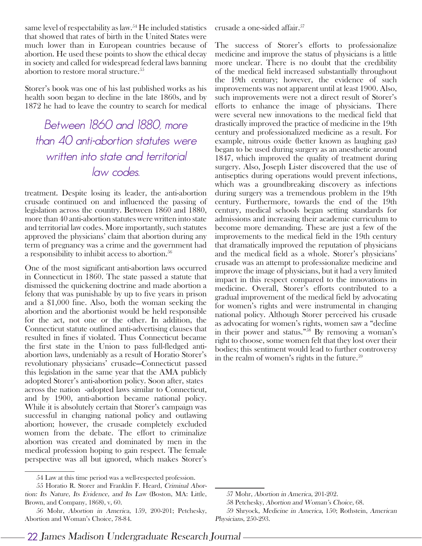same level of respectability as law.<sup>54</sup> He included statistics that showed that rates of birth in the United States were much lower than in European countries because of abortion. He used these points to show the ethical decay in society and called for widespread federal laws banning abortion to restore moral structure.<sup>55</sup>

Storer's book was one of his last published works as his health soon began to decline in the late 1860s, and by 1872 he had to leave the country to search for medical

Between 1860 and 1880, more than 40 anti-abortion statutes were written into state and territorial law codes.

treatment. Despite losing its leader, the anti-abortion crusade continued on and influenced the passing of legislation across the country. Between 1860 and 1880, more than 40 anti-abortion statutes were written into state and territorial law codes. More importantly, such statutes approved the physicians' claim that abortion during any term of pregnancy was a crime and the government had a responsibility to inhibit access to abortion.<sup>56</sup>

One of the most significant anti-abortion laws occurred in Connecticut in 1860. The state passed a statute that dismissed the quickening doctrine and made abortion a felony that was punishable by up to five years in prison and a \$1,000 fine. Also, both the woman seeking the abortion and the abortionist would be held responsible for the act, not one or the other. In addition, the Connecticut statute outlined anti-advertising clauses that resulted in fines if violated. Thus Connecticut became the first state in the Union to pass full-fledged antiabortion laws, undeniably as a result of Horatio Storer's revolutionary physicians' crusade—Connecticut passed this legislation in the same year that the AMA publicly adopted Storer's anti-abortion policy. Soon after, states across the nation -adopted laws similar to Connecticut, and by 1900, anti-abortion became national policy. While it is absolutely certain that Storer's campaign was successful in changing national policy and outlawing abortion; however, the crusade completely excluded women from the debate. The effort to criminalize abortion was created and dominated by men in the medical profession hoping to gain respect. The female perspective was all but ignored, which makes Storer's

crusade a one-sided affair.<sup>57</sup>

The success of Storer's efforts to professionalize medicine and improve the status of physicians is a little more unclear. There is no doubt that the credibility of the medical field increased substantially throughout the 19th century; however, the evidence of such improvements was not apparent until at least 1900. Also, such improvements were not a direct result of Storer's efforts to enhance the image of physicians. There were several new innovations to the medical field that drastically improved the practice of medicine in the 19th century and professionalized medicine as a result. For example, nitrous oxide (better known as laughing gas) began to be used during surgery as an anesthetic around 1847, which improved the quality of treatment during surgery. Also, Joseph Lister discovered that the use of antiseptics during operations would prevent infections, which was a groundbreaking discovery as infections during surgery was a tremendous problem in the 19th century. Furthermore, towards the end of the 19th century, medical schools began setting standards for admissions and increasing their academic curriculum to become more demanding. These are just a few of the improvements to the medical field in the 19th century that dramatically improved the reputation of physicians and the medical field as a whole. Storer's physicians' crusade was an attempt to professionalize medicine and improve the image of physicians, but it had a very limited impact in this respect compared to the innovations in medicine. Overall, Storer's efforts contributed to a gradual improvement of the medical field by advocating for women's rights and were instrumental in changing national policy. Although Storer perceived his crusade as advocating for women's rights, women saw a "decline in their power and status."58 By removing a woman's right to choose, some women felt that they lost over their bodies; this sentiment would lead to further controversy in the realm of women's rights in the future. $59$ 

<sup>54</sup> Law at this time period was a well-respected profession.

<sup>55</sup> Horatio R. Storer and Franklin F. Heard, Criminal Abortion: Its Nature, Its Evidence, and Its Law (Boston, MA: Little, Brown, and Company, 1868), v, 60.

<sup>56</sup> Mohr, Abortion in America, 159, 200-201; Petchesky, Abortion and Woman's Choice, 78-84.

<sup>57</sup> Mohr, Abortion in America, 201-202.

<sup>58</sup> Petchesky, Abortion and Woman's Choice, 68.

<sup>59</sup> Shryock, Medicine in America, 150; Rothstein, American Physicians, 250-293.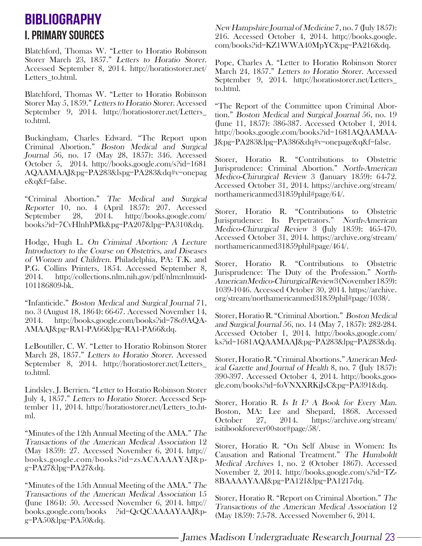# i. Primary Sources **BIBLIOGRAPHY**

Blatchford, Thomas W. "Letter to Horatio Robinson Storer March 23, 1857." Letters to Horatio Storer. Accessed September 8, 2014. http://horatiostorer.net/ Letters to.html.

Blatchford, Thomas W. "Letter to Horatio Robinson Storer May 5, 1859." Letters to Horatio Storer. Accessed September 9, 2014. http://horatiostorer.net/Letters\_ to.html.

Buckingham, Charles Edward. "The Report upon Criminal Abortion." Boston Medical and Surgical Journal 56, no. 17 (May 28, 1857): 346. Accessed October 5, 2014. http://books.google.com/s?id=1681 AQAAMAAJ&pg=PA283&lspg=PA283&dq#v=onepag e&q&f=false.

"Criminal Abortion." The Medical and Surgical Reporter 10, no. 4 (April 1857): 207. Accessed<br>September 28, 2014. http://books.google.com/ September 28, 2014. http://books.google.com/ books?id=7CvHlnhPMk&pg=PA207&lpg=PA310&dq.

Hodge, Hugh L. On Criminal Abortion: A Lecture Introductory to the Course on Obstetrics, and Diseases of Women and Children. Philadelphia, PA: T.K. and P.G. Collins Printers, 1854. Accessed September 8, 2014. http://collections.nlm.nih.gov/pdf/nlm:nlmuid-101186809-bk.

"Infanticide." Boston Medical and Surgical Journal 71, no. 3 (August 18, 1864): 66-67. Accessed November 14, 2014. http://books.google.com/books?id=78o9AQA-AMAAJ&pg=RA1-PA66&lpg=RA1-PA66&dq.

LeBoutiller, C. W. "Letter to Horatio Robinson Storer March 28, 1857." Letters to Horatio Storer. Accessed September 8, 2014. http://horatiostorer.net/Letters\_ to.html.

Lindsley, J. Berrien. "Letter to Horatio Robinson Storer July 4, 1857." Letters to Horatio Storer. Accessed September 11, 2014. http://horatiostorer.net/Letters\_to.html.

"Minutes of the 12th Annual Meeting of the AMA." The Transactions of the American Medical Association 12 (May 1859): 27. Accessed November 6, 2014. http:// books.google.com/books?id=zsACAAAAYAJ&p $g = PA27&lpg = PA27&lqdq.$ 

"Minutes of the 15th Annual Meeting of the AMA." The Transactions of the American Medical Association 15 (June 1864): 50. Accessed November 6, 2014. http:// books.google.com/books ?id=QcQCAAAAYAAJ&p $g = PA50\&$ lpg=PA50 $\&$ dq.

New Hampshire Journal of Medicine 7, no. 7 (July 1857): 216. Accessed October 4, 2014. http://books.google. com/books?id=KZ1WWA40MpYC&pg=PA216&dq.

Pope, Charles A. "Letter to Horatio Robinson Storer March 24, 1857." Letters to Horatio Storer. Accessed September 9, 2014. http://horatiostorer.net/Letters\_ to.html.

"The Report of the Committee upon Criminal Abortion." Boston Medical and Surgical Journal 56, no. 19 (June 11, 1857): 386-387. Accessed October 1, 2014. http://books.google.com/books?id=1681AQAAMAA-J&pg=PA283&lpg=PA386&dq#v=onepage&q&f=false.

Storer, Horatio R. "Contributions to Obstetric Jurisprudence: Criminal Abortion." North-American Medico-Chirurgical Review 3 (January 1859): 64-72. Accessed October 31, 2014. https://archive.org/stream/ northamericanmed31859phil#page/64/.

Storer, Horatio R. "Contributions to Obstetric Jurisprudence: Its Perpetrators." North-American Medico-Chirurgical Review 3 (July 1859): 465-470. Accessed October 31, 2014. https://archive.org/stream/ northamericanmed31859phil#page/464/.

Storer, Horatio R. "Contributions to Obstetric Jurisprudence: The Duty of the Profession." North-American Medico-Chirurgical Review 3 (November 1859): 1039-1046. Accessed October 30, 2014. https://archive. org/stream/northamericanmed31859phil#page/1038/.

Storer, Horatio R. "Criminal Abortion." Boston Medical and Surgical Journal 56, no. 14 (May 7, 1857): 282-284. Accessed October 1, 2014. http://books.google.com/ ks?id=1681AQAAMAAJ&pg=PA283&lpg=PA283&dq.

Storer, Horatio R. "Criminal Abortions." American Medical Gazette and Journal of Health 8, no. 7 (July 1857): 390-397. Accessed October 4, 2014. http://books.google.com/books?id=foVNXXRKiJsC&pg=PA391&dq.

Storer, Horatio R. Is It I? A Book for Every Man. Boston, MA: Lee and Shepard, 1868. Accessed October 27, 2014. https://archive.org/stream/ isitibookforever00stor#page/58/.

Storer, Horatio R. "On Self Abuse in Women: Its Causation and Rational Treatment." The Humboldt Medical Archives 1, no. 2 (October 1867). Accessed November 2, 2014. http://books.google.com/s?id=TZ-8BAAAAYAAJ&pg=PA121&lpg=PA1217dq.

Storer, Horatio R. "Report on Criminal Abortion." The Transactions of the American Medical Association 12 (May 1859): 75-78. Accessed November 6, 2014.

James Madison Undergraduate Research Journal **23**